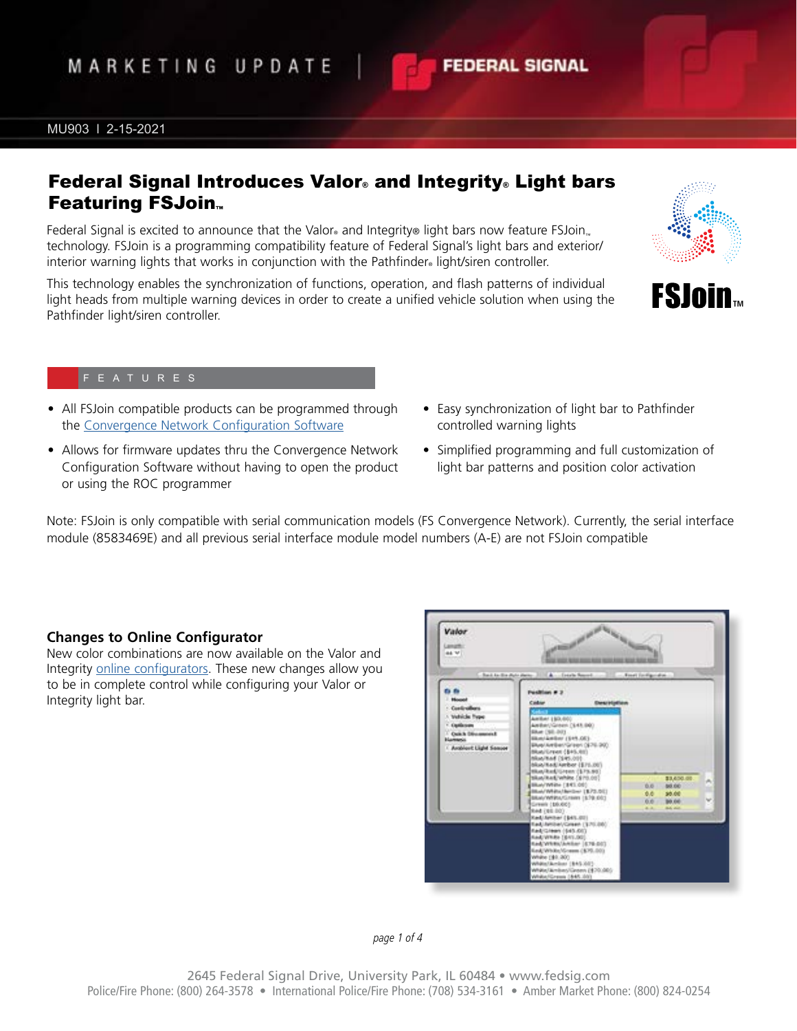*page 1 of 4*

# MARKETING UPDATE

#### MU903 l 2-15-2021

## Federal Signal Introduces Valor® and Integrity® Light bars **Featuring FSJoin**™

Federal Signal is excited to announce that the Valor® and Integrity® light bars now feature FSJoin technology. FSJoin is a programming compatibility feature of Federal Signal's light bars and exterior/ interior warning lights that works in conjunction with the Pathfinder® light/siren controller.

This technology enables the synchronization of functions, operation, and flash patterns of individual light heads from multiple warning devices in order to create a unified vehicle solution when using the Pathfinder light/siren controller.

- All FSJoin compatible products can be programmed through the [Convergence Network Configuration Software](https://www.fedsig.com/software-downloads)
- Allows for firmware updates thru the Convergence Network Configuration Software without having to open the product or using the ROC programmer
- Easy synchronization of light bar to Pathfinder controlled warning lights
- Simplified programming and full customization of light bar patterns and position color activation

Note: FSJoin is only compatible with serial communication models (FS Convergence Network). Currently, the serial interface module (8583469E) and all previous serial interface module model numbers (A-E) are not FSJoin compatible

Valor

## **Changes to Online Configurator**

New color combinations are now available on the Valor and Integrity [online configurators.](https://config.fedsig.com/lightbar/index.php?fuseaction=home.main) These new changes allow you to be in complete control while configuring your Valor or Integrity light bar.





**TM**



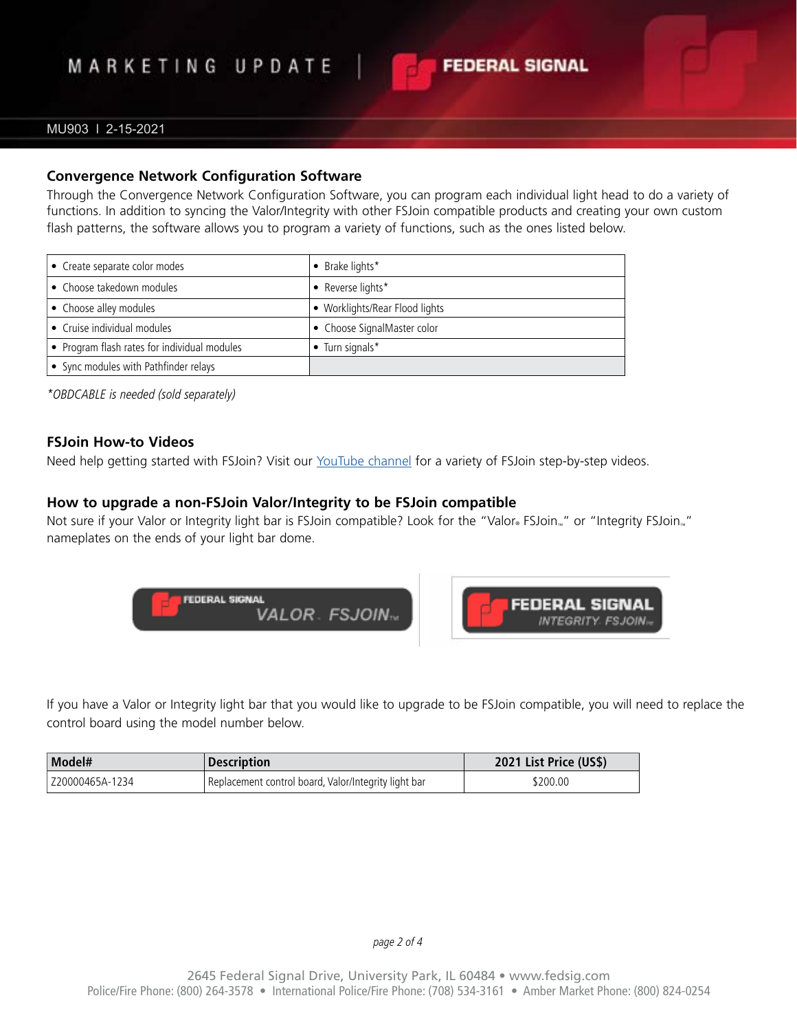# MARKETING UPDATE

## MU903 l 2-15-2021

### **Convergence Network Configuration Software**

Through the Convergence Network Configuration Software, you can program each individual light head to do a variety of functions. In addition to syncing the Valor/Integrity with other FSJoin compatible products and creating your own custom flash patterns, the software allows you to program a variety of functions, such as the ones listed below.

**FEDERAL SIGNAL** 

| • Create separate color modes                | • Brake lights*                |
|----------------------------------------------|--------------------------------|
| • Choose takedown modules                    | • Reverse lights*              |
| • Choose alley modules                       | • Worklights/Rear Flood lights |
| • Cruise individual modules                  | • Choose SignalMaster color    |
| • Program flash rates for individual modules | $\bullet$ Turn signals*        |
| • Sync modules with Pathfinder relays        |                                |

*\*OBDCABLE is needed (sold separately)*

#### **FSJoin How-to Videos**

Need help getting started with FSJoin? Visit our [YouTube channel](https://www.youtube.com/c/fedsigpublicsafety/playlists) for a variety of FSJoin step-by-step videos.

### **How to upgrade a non-FSJoin Valor/Integrity to be FSJoin compatible**

Not sure if your Valor or Integrity light bar is FSJoin compatible? Look for the "Valor® FSJoin™" or "Integrity FSJoin™ nameplates on the ends of your light bar dome.



If you have a Valor or Integrity light bar that you would like to upgrade to be FSJoin compatible, you will need to replace the control board using the model number below.

| Model#            | <b>Description</b>                                   | 2021 List Price (US\$) |
|-------------------|------------------------------------------------------|------------------------|
| l Z20000465A-1234 | Replacement control board, Valor/Integrity light bar | \$200.00               |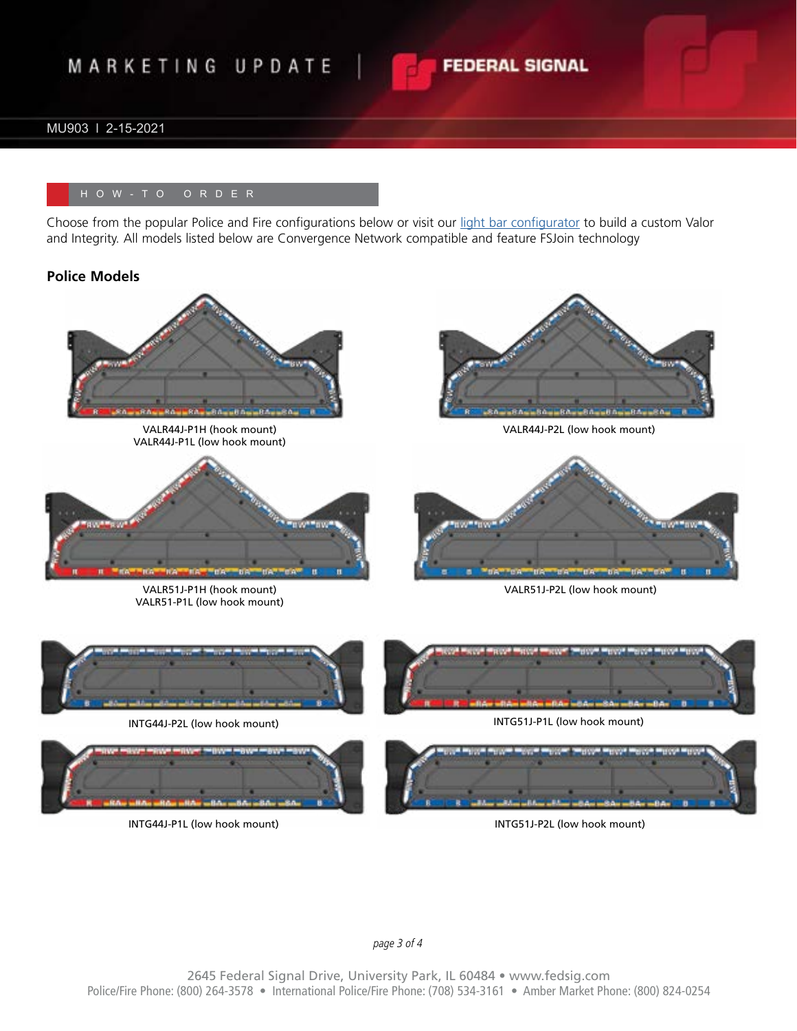# MARKETING UPDATE

## MU903 l 2-15-2021

Choose from the popular Police and Fire configurations below or visit our [light bar configurator](https://config.fedsig.com/lightbar/) to build a custom Valor and Integrity. All models listed below are Convergence Network compatible and feature FSJoin technology

#### **Police Models**



VALR44J-P1H (hook mount) VALR44J-P1L (low hook mount)



VALR51J-P1H (hook mount) VALR51-P1L (low hook mount)



**FEDERAL SIGNAL** 

VALR44J-P2L (low hook mount)



VALR51J-P2L (low hook mount)



INTG44J-P2L (low hook mount)



INTG44J-P1L (low hook mount) INTG51J-P2L (low hook mount)





*page 3 of 4*